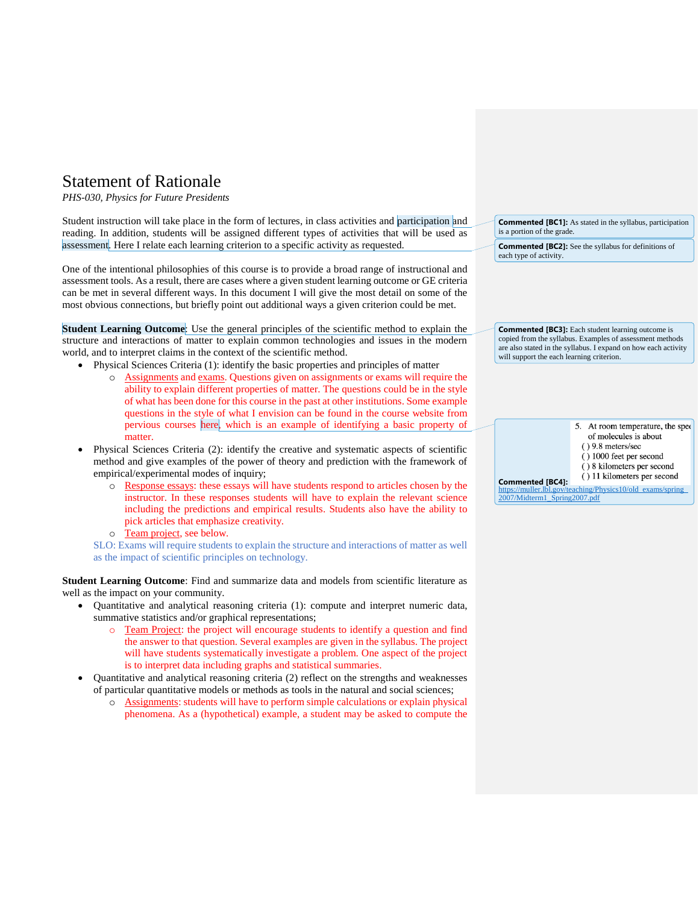## Statement of Rationale

*PHS-030, Physics for Future Presidents* 

Student instruction will take place in the form of lectures, in class activities and participation and reading. In addition, students will be assigned different types of activities that will be used as assessment. Here I relate each learning criterion to a specific activity as requested.

One of the intentional philosophies of this course is to provide a broad range of instructional and assessment tools. As a result, there are cases where a given student learning outcome or GE criteria can be met in several different ways. In this document I will give the most detail on some of the most obvious connections, but briefly point out additional ways a given criterion could be met.

**Student Learning Outcome**: Use the general principles of the scientific method to explain the structure and interactions of matter to explain common technologies and issues in the modern world, and to interpret claims in the context of the scientific method.

- Physical Sciences Criteria (1): identify the basic properties and principles of matter
	- Assignments and exams. Questions given on assignments or exams will require the ability to explain different properties of matter. The questions could be in the style of what has been done for this course in the past at other institutions. Some example questions in the style of what I envision can be found in the course website from pervious courses here, which is an example of identifying a basic property of matter.
- Physical Sciences Criteria (2): identify the creative and systematic aspects of scientific method and give examples of the power of theory and prediction with the framework of empirical/experimental modes of inquiry;
	- o Response essays: these essays will have students respond to articles chosen by the instructor. In these responses students will have to explain the relevant science including the predictions and empirical results. Students also have the ability to pick articles that emphasize creativity.
	- o Team project, see below.

SLO: Exams will require students to explain the structure and interactions of matter as well as the impact of scientific principles on technology.

**Student Learning Outcome**: Find and summarize data and models from scientific literature as well as the impact on your community.

- Quantitative and analytical reasoning criteria (1): compute and interpret numeric data, summative statistics and/or graphical representations;
	- o Team Project: the project will encourage students to identify a question and find the answer to that question. Several examples are given in the syllabus. The project will have students systematically investigate a problem. One aspect of the project is to interpret data including graphs and statistical summaries.
- Quantitative and analytical reasoning criteria (2) reflect on the strengths and weaknesses of particular quantitative models or methods as tools in the natural and social sciences;
	- o Assignments: students will have to perform simple calculations or explain physical phenomena. As a (hypothetical) example, a student may be asked to compute the

| <b>Commented [BC1]:</b> As stated in the syllabus, participation |
|------------------------------------------------------------------|
| is a portion of the grade.                                       |

**Commented [BC2]:** See the syllabus for definitions of each type of activity.

**Commented [BC3]:** Each student learning outcome is copied from the syllabus. Examples of assessment methods are also stated in the syllabus. I expand on how each activity will support the each learning criterion.